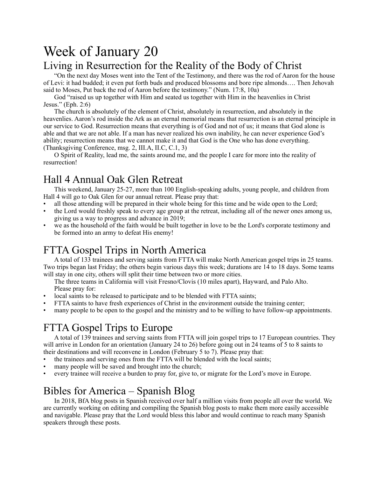# Week of January 20

## Living in Resurrection for the Reality of the Body of Christ

 "On the next day Moses went into the Tent of the Testimony, and there was the rod of Aaron for the house of Levi: it had budded; it even put forth buds and produced blossoms and bore ripe almonds…. Then Jehovah said to Moses, Put back the rod of Aaron before the testimony." (Num. 17:8, 10a)

 God "raised us up together with Him and seated us together with Him in the heavenlies in Christ Jesus." (Eph. 2:6)

 The church is absolutely of the element of Christ, absolutely in resurrection, and absolutely in the heavenlies. Aaron's rod inside the Ark as an eternal memorial means that resurrection is an eternal principle in our service to God. Resurrection means that everything is of God and not of us; it means that God alone is able and that we are not able. If a man has never realized his own inability, he can never experience God's ability; resurrection means that we cannot make it and that God is the One who has done everything. (Thanksgiving Conference, msg. 2, III.A, II.C, C.1, 3)

 O Spirit of Reality, lead me, the saints around me, and the people I care for more into the reality of resurrection!

## Hall 4 Annual Oak Glen Retreat

 This weekend, January 25-27, more than 100 English-speaking adults, young people, and children from Hall 4 will go to Oak Glen for our annual retreat. Please pray that:

- all those attending will be prepared in their whole being for this time and be wide open to the Lord;
- the Lord would freshly speak to every age group at the retreat, including all of the newer ones among us, giving us a way to progress and advance in 2019;
- we as the household of the faith would be built together in love to be the Lord's corporate testimony and be formed into an army to defeat His enemy!

## FTTA Gospel Trips in North America

 A total of 133 trainees and serving saints from FTTA will make North American gospel trips in 25 teams. Two trips began last Friday; the others begin various days this week; durations are 14 to 18 days. Some teams will stay in one city, others will split their time between two or more cities.

 The three teams in California will visit Fresno/Clovis (10 miles apart), Hayward, and Palo Alto. Please pray for:

- local saints to be released to participate and to be blended with FTTA saints;
- FTTA saints to have fresh experiences of Christ in the environment outside the training center;
- many people to be open to the gospel and the ministry and to be willing to have follow-up appointments.

## FTTA Gospel Trips to Europe

 A total of 139 trainees and serving saints from FTTA will join gospel trips to 17 European countries. They will arrive in London for an orientation (January 24 to 26) before going out in 24 teams of 5 to 8 saints to their destinations and will reconvene in London (February 5 to 7). Please pray that:

- the trainees and serving ones from the FTTA will be blended with the local saints;
- many people will be saved and brought into the church;
- every trainee will receive a burden to pray for, give to, or migrate for the Lord's move in Europe.

#### Bibles for America – Spanish Blog

 In 2018, BfA blog posts in Spanish received over half a million visits from people all over the world. We are currently working on editing and compiling the Spanish blog posts to make them more easily accessible and navigable. Please pray that the Lord would bless this labor and would continue to reach many Spanish speakers through these posts.